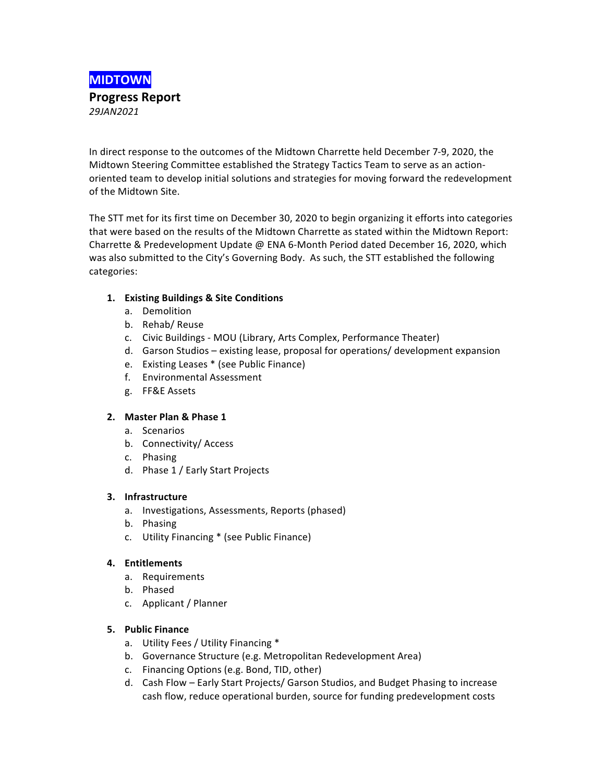

In direct response to the outcomes of the Midtown Charrette held December 7-9, 2020, the Midtown Steering Committee established the Strategy Tactics Team to serve as an actionoriented team to develop initial solutions and strategies for moving forward the redevelopment of the Midtown Site.

The STT met for its first time on December 30, 2020 to begin organizing it efforts into categories that were based on the results of the Midtown Charrette as stated within the Midtown Report: Charrette & Predevelopment Update @ ENA 6-Month Period dated December 16, 2020, which was also submitted to the City's Governing Body. As such, the STT established the following categories:

## 1. **Existing Buildings & Site Conditions**

- a. Demolition
- b. Rehab/Reuse
- c. Civic Buildings MOU (Library, Arts Complex, Performance Theater)
- d. Garson Studios existing lease, proposal for operations/ development expansion
- e. Existing Leases \* (see Public Finance)
- f. Environmental Assessment
- g. FF&E Assets

## **2. Master Plan & Phase 1**

- a. Scenarios
- b. Connectivity/ Access
- c. Phasing
- d. Phase 1 / Early Start Projects

## **3. Infrastructure**

- a. Investigations, Assessments, Reports (phased)
- b. Phasing
- c. Utility Financing \* (see Public Finance)

## **4. Entitlements**

- a. Requirements
- b. Phased
- c. Applicant / Planner

## **5. Public Finance**

- a. Utility Fees / Utility Financing \*
- b. Governance Structure (e.g. Metropolitan Redevelopment Area)
- c. Financing Options (e.g. Bond, TID, other)
- d. Cash Flow Early Start Projects/ Garson Studios, and Budget Phasing to increase cash flow, reduce operational burden, source for funding predevelopment costs